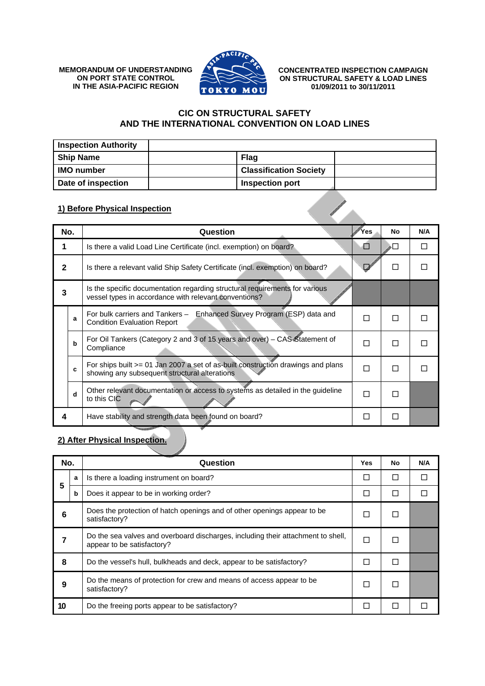**MEMORANDUM OF UNDERSTANDING ON PORT STATE CONTROL IN THE ASIA-PACIFIC REGION**



**CONCENTRATED INSPECTION CAMPAIGN ON STRUCTURAL SAFETY & LOAD LINES 01/09/2011 to 30/11/2011** 

## **CIC ON STRUCTURAL SAFETY AND THE INTERNATIONAL CONVENTION ON LOAD LINES**

| <b>Inspection Authority</b> |                               |  |
|-----------------------------|-------------------------------|--|
| <b>Ship Name</b>            | Flag                          |  |
| <b>IMO</b> number           | <b>Classification Society</b> |  |
| Date of inspection          | Inspection port               |  |

## **1) Before Physical Inspection**

| 1) Before Physical Inspection |                 |                                                                                                                                      |     |    |     |
|-------------------------------|-----------------|--------------------------------------------------------------------------------------------------------------------------------------|-----|----|-----|
|                               | No.<br>Question |                                                                                                                                      | Yes | No | N/A |
|                               |                 | Is there a valid Load Line Certificate (incl. exemption) on board?                                                                   |     |    | П   |
| 2                             |                 | Is there a relevant valid Ship Safety Certificate (incl. exemption) on board?                                                        |     | П  |     |
| 3                             |                 | Is the specific documentation regarding structural requirements for various<br>vessel types in accordance with relevant conventions? |     |    |     |
|                               | a               | Enhanced Survey Program (ESP) data and<br>For bulk carriers and Tankers -<br><b>Condition Evaluation Report</b>                      | П   | П  |     |
|                               | b               | For Oil Tankers (Category 2 and 3 of 15 years and over) – CAS Statement of<br>Compliance                                             | П   | П  |     |
|                               | C               | For ships built >= 01 Jan 2007 a set of as-built construction drawings and plans<br>showing any subsequent structural alterations    | П   | П  |     |
|                               | d               | Other relevant documentation or access to systems as detailed in the guideline<br>to this CIC                                        | П   | П  |     |
| 4                             |                 | Have stability and strength data been found on board?                                                                                | П   | П  |     |

## **2) After Physical Inspection.**

| No. |   | Question                                                                                                       | Yes | No | N/A |
|-----|---|----------------------------------------------------------------------------------------------------------------|-----|----|-----|
| 5   | a | Is there a loading instrument on board?                                                                        | П   |    |     |
|     | b | Does it appear to be in working order?                                                                         |     | Ш  |     |
| h   |   | Does the protection of hatch openings and of other openings appear to be<br>satisfactory?                      |     |    |     |
|     |   | Do the sea valves and overboard discharges, including their attachment to shell,<br>appear to be satisfactory? |     |    |     |
| 8   |   | Do the vessel's hull, bulkheads and deck, appear to be satisfactory?                                           |     |    |     |
| 9   |   | Do the means of protection for crew and means of access appear to be<br>satisfactory?                          | ГΙ  |    |     |
| 10  |   | Do the freeing ports appear to be satisfactory?                                                                |     |    |     |